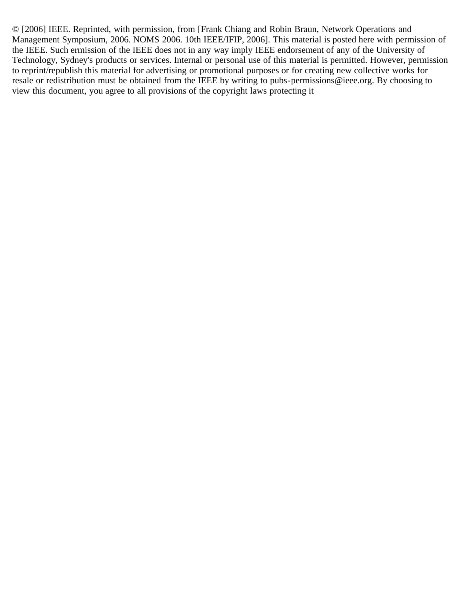© [2006] IEEE. Reprinted, with permission, from [Frank Chiang and Robin Braun, Network Operations and Management Symposium, 2006. NOMS 2006. 10th IEEE/IFIP, 2006]. This material is posted here with permission of the IEEE. Such ermission of the IEEE does not in any way imply IEEE endorsement of any of the University of Technology, Sydney's products or services. Internal or personal use of this material is permitted. However, permission to reprint/republish this material for advertising or promotional purposes or for creating new collective works for resale or redistribution must be obtained from the IEEE by writing to pubs-permissions@ieee.org. By choosing to view this document, you agree to all provisions of the copyright laws protecting it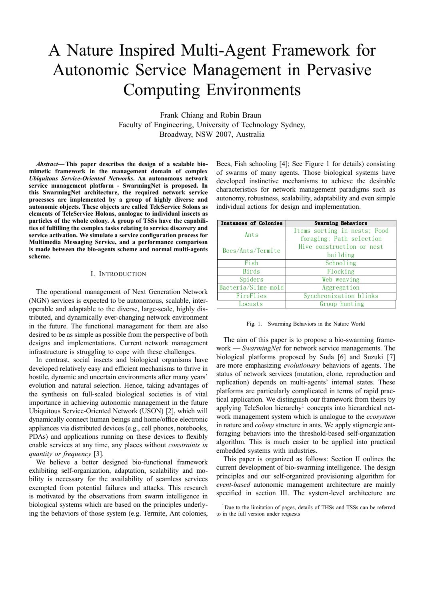# A Nature Inspired Multi-Agent Framework for Autonomic Service Management in Pervasive Computing Environments

Frank Chiang and Robin Braun Faculty of Engineering, University of Technology Sydney, Broadway, NSW 2007, Australia

*Abstract*—This paper describes the design of a scalable biomimetic framework in the management domain of complex *Ubiquitous Service-Oriented Networks*. An autonomous network service management platform - SwarmingNet is proposed. In this SwarmingNet architecture, the required network service processes are implemented by a group of highly diverse and autonomic objects. These objects are called TeleService Solons as elements of TeleService Holons, analogue to individual insects as particles of the whole colony. A group of TSSs have the capabilities of fulfilling the complex tasks relating to service discovery and service activation. We simulate a service configuration process for Multimedia Messaging Service, and a performance comparison is made between the bio-agents scheme and normal multi-agents scheme.

## I. INTRODUCTION

The operational management of Next Generation Network (NGN) services is expected to be autonomous, scalable, interoperable and adaptable to the diverse, large-scale, highly distributed, and dynamically ever-changing network environment in the future. The functional management for them are also desired to be as simple as possible from the perspective of both designs and implementations. Current network management infrastructure is struggling to cope with these challenges.

In contrast, social insects and biological organisms have developed relatively easy and efficient mechanisms to thrive in hostile, dynamic and uncertain environments after many years' evolution and natural selection. Hence, taking advantages of the synthesis on full-scaled biological societies is of vital importance in achieving autonomic management in the future Ubiquitous Service-Oriented Network (USON) [2], which will dynamically connect human beings and home/office electronic appliances via distributed devices (e.g., cell phones, notebooks, PDAs) and applications running on these devices to flexibly enable services at any time, any places without *constraints in quantity or frequency* [3].

We believe a better designed bio-functional framework exhibiting self-organization, adaptation, scalability and mobility is necessary for the availability of seamless services exempted from potential failures and attacks. This research is motivated by the observations from swarm intelligence in biological systems which are based on the principles underlying the behaviors of those system (e.g. Termite, Ant colonies, Bees, Fish schooling [4]; See Figure 1 for details) consisting of swarms of many agents. Those biological systems have developed instinctive mechanisms to achieve the desirable characteristics for network management paradigms such as autonomy, robustness, scalability, adaptability and even simple individual actions for design and implementation.

| Instances of Colonies | <b>Swarming Behaviors</b>    |  |  |  |
|-----------------------|------------------------------|--|--|--|
| Ants                  | Items sorting in nests; Food |  |  |  |
|                       | foraging; Path selection     |  |  |  |
| Bees/Ants/Termite     | Hive construction or nest    |  |  |  |
|                       | building                     |  |  |  |
| Fish                  | Schooling                    |  |  |  |
| Birds                 | Flocking                     |  |  |  |
| Spiders               | Web weaving                  |  |  |  |
| Bacteria/Slime mold   | Aggregation                  |  |  |  |
| FireFlies             | Synchronization blinks       |  |  |  |
| Locusts               | Group hunting                |  |  |  |
|                       |                              |  |  |  |

Fig. 1. Swarming Behaviors in the Nature World

The aim of this paper is to propose a bio-swarming framework — *SwarmingNet* for network service managements. The biological platforms proposed by Suda [6] and Suzuki [7] are more emphasizing *evolutionary* behaviors of agents. The status of network services (mutation, clone, reproduction and replication) depends on multi-agents' internal states. These platforms are particularly complicated in terms of rapid practical application. We distinguish our framework from theirs by applying TeleSolon hierarchy<sup>1</sup> concepts into hierarchical network management system which is analogue to the *ecosystem* in nature and *colony* structure in ants. We apply stigmergic antforaging behaviors into the threshold-based self-organization algorithm. This is much easier to be applied into practical embedded systems with industries.

This paper is organized as follows: Section II oulines the current development of bio-swarming intelligence. The design principles and our self-organized provisioning algorithm for *event-based* autonomic management architecture are mainly specified in section III. The system-level architecture are

<sup>&</sup>lt;sup>1</sup>Due to the limitation of pages, details of THSs and TSSs can be referred to in the full version under requests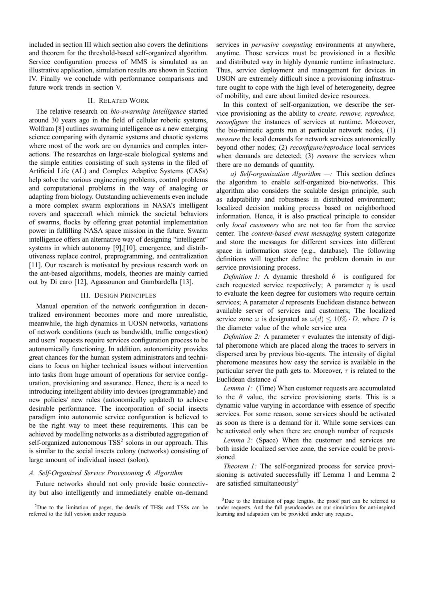included in section III which section also covers the definitions and theorem for the threshold-based self-organized algorithm. Service configuration process of MMS is simulated as an illustrative application, simulation results are shown in Section IV. Finally we conclude with performance comparisons and future work trends in section V.

## II. RELATED WORK

The relative research on *bio-swarming intelligence* started around 30 years ago in the field of cellular robotic systems, Wolfram [8] outlines swarming intelligence as a new emerging science comparing with dynamic systems and chaotic systems where most of the work are on dynamics and complex interactions. The researches on large-scale biological systems and the simple entities consisting of such systems in the filed of Artificial Life (AL) and Complex Adaptive Systems (CASs) help solve the various engineering problems, control problems and computational problems in the way of analoging or adapting from biology. Outstanding achievements even include a more complex swarm explorations in NASA's intelligent rovers and spacecraft which mimick the societal behaviors of swarms, flocks by offering great potential implementation power in fulfilling NASA space mission in the future. Swarm intelligence offers an alternative way of designing "intelligent" systems in which autonomy [9], [10], emergence, and distributiveness replace control, preprogramming, and centralization [11]. Our research is motivated by previous research work on the ant-based algorithms, models, theories are mainly carried out by Di caro [12], Agassounon and Gambardella [13].

#### III. DESIGN PRINCIPLES

Manual operation of the network configuration in decentralized environment becomes more and more unrealistic, meanwhile, the high dynamics in UOSN networks, variations of network conditions (such as bandwidth, traffic congestion) and users' requests require services configuration process to be autonomically functioning. In addition, autonomicity provides great chances for the human system administrators and technicians to focus on higher technical issues without intervention into tasks from huge amount of operations for service configuration, provisioning and assurance. Hence, there is a need to introducing intelligent ability into devices (programmable) and new policies/ new rules (autonomically updated) to achieve desirable performance. The incorporation of social insects paradigm into autonomic service configuration is believed to be the right way to meet these requirements. This can be achieved by modelling networks as a distributed aggregation of self-organized autonomous TSS<sup>2</sup> solons in our approach. This is similar to the social insects colony (networks) consisting of large amount of individual insect (solon).

# *A. Self-Organized Service Provisioning & Algorithm*

Future networks should not only provide basic connectivity but also intelligently and immediately enable on-demand services in *pervasive computing* environments at anywhere, anytime. Those services must be provisioned in a flexible and distributed way in highly dynamic runtime infrastructure. Thus, service deployment and management for devices in USON are extremely difficult since a provisioning infrastructure ought to cope with the high level of heterogeneity, degree of mobility, and care about limited device resources.

In this context of self-organization, we describe the service provisioning as the ability to *create, remove, reproduce, reconfigure* the instances of services at runtime. Moreover, the bio-mimetic agents run at particular network nodes, (1) *measure* the local demands for network services autonomically beyond other nodes; (2) *reconfigure/reproduce* local services when demands are detected; (3) *remove* the services when there are no demands of quantity.

*a) Self-organization Algorithm —:* This section defines the algorithm to enable self-organized bio-networks. This algorithm also considers the scalable design principle, such as adaptability and robustness in distributed environment; localized decision making process based on neighborhood information. Hence, it is also practical principle to consider only *local customers* who are not too far from the service center. The *content-based event messaging* system categorize and store the messages for different services into different space in information store (e.g., database). The following definitions will together define the problem domain in our service provisioning process.

*Definition* 1: A dynamic threshold  $\theta$  is configured for each requested service respectively; A parameter  $\eta$  is used to evaluate the keen degree for customers who require certain services; A parameter d represents Euclidean distance between available server of services and customers; The localized service zone  $\omega$  is designated as  $\omega(d) \leq 10\% \cdot D$ , where D is the diameter value of the whole service area

*Definition* 2: A parameter  $\tau$  evaluates the intensity of digital pheromone which are placed along the traces to servers in dispersed area by previous bio-agents. The intensity of digital pheromone measures how easy the service is available in the particular server the path gets to. Moreover,  $\tau$  is related to the Euclidean distance d

*Lemma 1:* (Time) When customer requests are accumulated to the  $\theta$  value, the service provisioning starts. This is a dynamic value varying in accordance with essence of specific services. For some reason, some services should be activated as soon as there is a demand for it. While some services can be activated only when there are enough number of requests

*Lemma 2:* (Space) When the customer and services are both inside localized service zone, the service could be provisioned

*Theorem 1:* The self-organized process for service provisioning is activated successfully iff Lemma 1 and Lemma 2 are satisfied simultaneously $3$ 

<sup>2</sup>Due to the limitation of pages, the details of THSs and TSSs can be referred to the full version under requests

<sup>&</sup>lt;sup>3</sup>Due to the limitation of page lengths, the proof part can be referred to under requests. And the full pseudocodes on our simulation for ant-inspired learning and adapation can be provided under any request.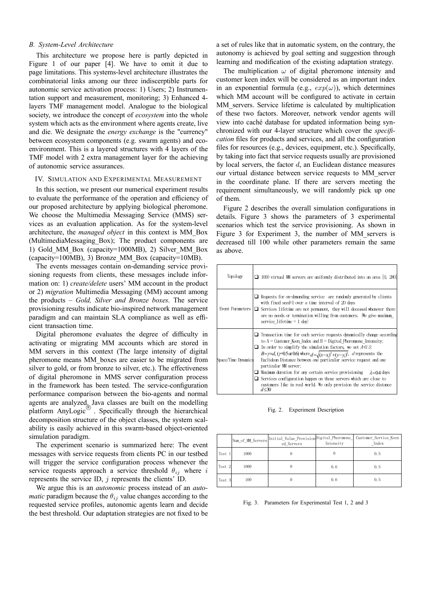# *B. System-Level Architecture*

This architecture we propose here is partly depicted in Figure 1 of our paper [4]. We have to omit it due to page limitations. This systems-level architecture illustrates the combinatorial links among our three indiscerptible parts for autonomic service activation process: 1) Users; 2) Instrumentation support and measurement, monitoring; 3) Enhanced 4 layers TMF management model. Analogue to the biological society, we introduce the concept of *ecosystem* into the whole system which acts as the environment where agents create, live and die. We designate the *energy exchange* is the "currency" between ecosystem components (e.g. swarm agents) and ecoenvironment. This is a layered structures with 4 layers of the TMF model with 2 extra management layer for the achieving of autonomic service assurances.

#### IV. SIMULATION AND EXPERIMENTAL MEASUREMENT

In this section, we present our numerical experiment results to evaluate the performance of the operation and efficiency of our proposed architecture by applying biological pheromone. We choose the Multimedia Messaging Service (MMS) services as an evaluation application. As for the system-level architecture, the *managed object* in this context is MM\_Box (MultimediaMessaging\_Box); The product components are 1) Gold\_MM\_Box (capacity=1000MB), 2) Silver\_MM\_Box  $(capacity=100MB)$ , 3) Bronze MM Box (capacity=10MB).

The events messages contain on-demanding service provisioning requests from clients, these messages include information on: 1) *create/delete* users' MM account in the product or 2) *migration* Multimedia Messaging (MM) account among the products – *Gold, Silver and Bronze boxes*. The service provisioning results indicate bio-inspired network management paradigm and can maintain SLA compliance as well as efficient transaction time.

Digital pheromone evaluates the degree of difficulty in activating or migrating MM accounts which are stored in MM servers in this context (The large intensity of digital pheromone means MM\_boxes are easier to be migrated from silver to gold, or from bronze to silver, etc.). The effectiveness of digital pheromone in MMS server configuration process in the framework has been tested. The service-configuration performance comparison between the bio-agents and normal agents are analyzed. Java classes are built on the modelling platform AnyLogic<sup>®</sup>. Specifically through the hierarchical decomposition structure of the object classes, the system scalability is easily achieved in this swarm-based object-oriented simulation paradigm.

The experiment scenario is summarized here: The event messages with service requests from clients PC in our testbed will trigger the service configuration process whenever the service requests approach a service threshold  $\theta_{ij}$  where i represents the service ID, j represents the clients' ID.

We argue this is an *autonomic* process instead of an *automatic* paradigm because the  $\theta_{ij}$  value changes according to the requested service profiles, autonomic agents learn and decide the best threshold. Our adaptation strategies are not fixed to be a set of rules like that in automatic system, on the contrary, the autonomy is achieved by goal setting and suggestion through learning and modification of the existing adaptation strategy.

The multiplication  $\omega$  of digital pheromone intensity and customer keen index will be considered as an important index in an exponential formula (e.g.,  $exp(\omega)$ ), which determines which MM account will be configured to activate in certain MM servers. Service lifetime is calculated by multiplication of these two factors. Moreover, network vendor agents will view into caché database for updated information being synchronized with our 4-layer structure which cover the *specification* files for products and services, and all the configuration files for resources (e.g., devices, equipment, etc.). Specifically, by taking into fact that service requests usually are provisioned by local servers, the factor  $d$ , an Euclidean distance measures our virtual distance between service requests to MM\_server in the coordinate plane. If there are servers meeting the requirement simultaneously, we will randomly pick up one of them.

Figure 2 describes the overall simulation configurations in details. Figure 3 shows the parameters of 3 experimental scenarios which test the service provisioning. As shown in Figure 3 for Experiment 3, the number of MM\_servers is decreased till 100 while other parameters remain the same as above.

| Topology            | $\Box$ 1000 virtual M servers are uniformly distributed into an area [0, 280]                                                                                                                                                                                                                                                                                                                                                                                                                                                                                                                                                                                                   |
|---------------------|---------------------------------------------------------------------------------------------------------------------------------------------------------------------------------------------------------------------------------------------------------------------------------------------------------------------------------------------------------------------------------------------------------------------------------------------------------------------------------------------------------------------------------------------------------------------------------------------------------------------------------------------------------------------------------|
| Event Parameters    | $\Box$ Requests for on-demanding service are randomly generated by clients<br>with fixed seed=1 over a time interval of 20 days<br>$\Box$ Services lifetime are not permanent, they will deceased whenever there<br>are no needs or termination willing from customers. We give maximum<br>service lifetime = $1$ day                                                                                                                                                                                                                                                                                                                                                           |
| Space/Time Dynamics | $\Box$ Transaction time for each service requests dynamically change according<br>to $A =$ Customer Keen Index and $B =$ Digital Pheronmone Intensity;<br>$\Box$ In order to simplify the simulation factors, we set $A=0.5$ ;<br>$B=\gamma \times d$ , ( $\gamma=0.5$ or 0.6) where $d=\sqrt{(x-x_1)^2+(y-y_1)^2}$ , d represents the<br>Euclidean Distance between one particular service request and one<br>particular M server;<br>Maximum duration for any certain service provisioning $\lambda = 0.4$ days<br>$\Box$ Services configuration happen on those servers which are close to<br>customers like in real world. We only provision the service distance<br>d < 30 |

Fig. 2. Experiment Description

|        | Num_of_MM_Servers | [Initial_Value_Provision <sup>Digital_Pheromone_]</sup><br>ed Servers | Intensity | Customer Service Keen<br>Index |
|--------|-------------------|-----------------------------------------------------------------------|-----------|--------------------------------|
| Test 1 | 1000              |                                                                       |           | 0, 5                           |
| Test 2 | 1000              | 0                                                                     | 0.6       | 0, 5                           |
| Test 3 | 100               | 0                                                                     | 0.6       | 0, 5                           |

Fig. 3. Parameters for Experimental Test 1, 2 and 3